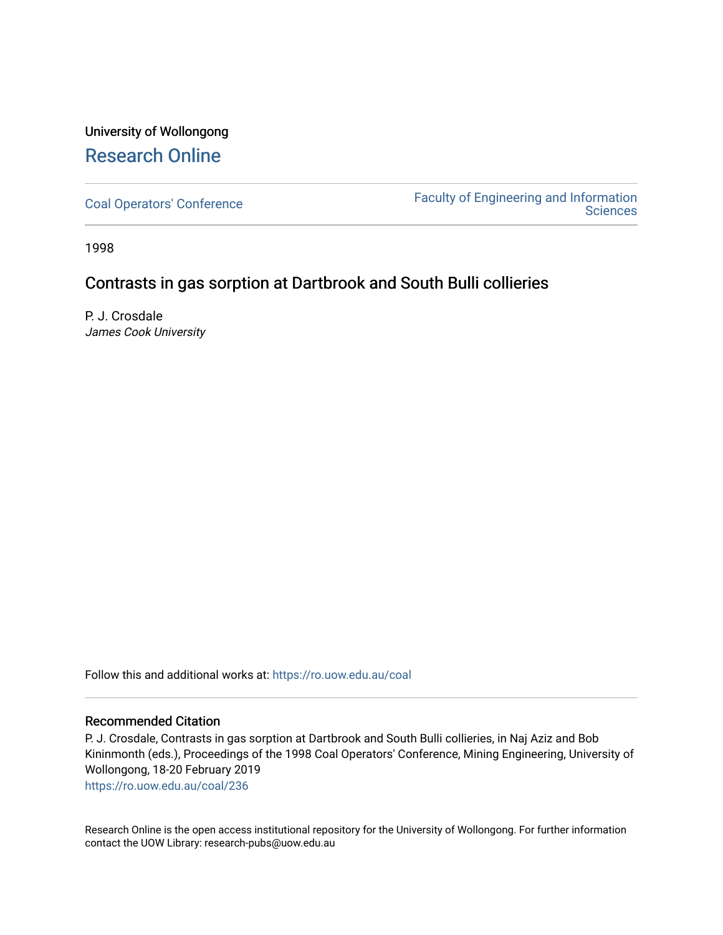## University of Wollongong [Research Online](https://ro.uow.edu.au/)

[Coal Operators' Conference](https://ro.uow.edu.au/coal) [Faculty of Engineering and Information](https://ro.uow.edu.au/eis)  **Sciences** 

1998

### Contrasts in gas sorption at Dartbrook and South Bulli collieries

P. J. Crosdale James Cook University

Follow this and additional works at: [https://ro.uow.edu.au/coal](https://ro.uow.edu.au/coal?utm_source=ro.uow.edu.au%2Fcoal%2F236&utm_medium=PDF&utm_campaign=PDFCoverPages) 

#### Recommended Citation

P. J. Crosdale, Contrasts in gas sorption at Dartbrook and South Bulli collieries, in Naj Aziz and Bob Kininmonth (eds.), Proceedings of the 1998 Coal Operators' Conference, Mining Engineering, University of Wollongong, 18-20 February 2019

[https://ro.uow.edu.au/coal/236](https://ro.uow.edu.au/coal/236?utm_source=ro.uow.edu.au%2Fcoal%2F236&utm_medium=PDF&utm_campaign=PDFCoverPages) 

Research Online is the open access institutional repository for the University of Wollongong. For further information contact the UOW Library: research-pubs@uow.edu.au